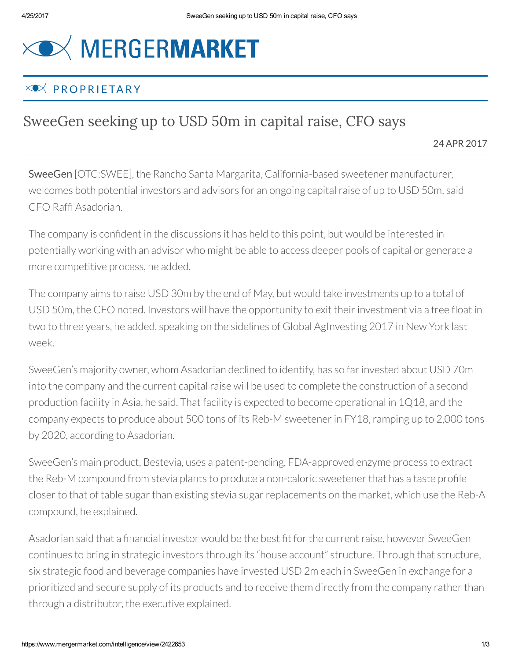## **XOX MERGERMARKET**

## $\times \bullet \times$  PROPRIFTARY

## SweeGen seeking up to USD 50m in capital raise, CFO says

24 APR 2017

SweeGen [OTC:SWEE], the Rancho Santa Margarita, California-based sweetener manufacturer, welcomes both potential investors and advisors for an ongoing capital raise of up to USD 50m, said CFO Rafí Asadorian.

The company is conídent in the discussions it has held to this point, but would be interested in potentially working with an advisor who might be able to access deeper pools of capital or generate a more competitive process, he added.

The company aims to raise USD 30m by the end of May, but would take investments up to a total of USD 50m, the CFO noted. Investors will have the opportunity to exit their investment via a free float in two to three years, he added, speaking on the sidelines of Global AgInvesting 2017 in New York last week.

SweeGen's majority owner, whom Asadorian declined to identify, has so far invested about USD 70m into the company and the current capital raise will be used to complete the construction of a second production facility in Asia, he said. That facility is expected to become operational in 1Q18, and the company expects to produce about 500 tons of its Reb-M sweetenerin FY18,ramping up to 2,000 tons by 2020, according to Asadorian.

SweeGen's main product, Bestevia, uses a patent-pending, FDA-approved enzyme process to extract the Reb-M compound from stevia plants to produce a non-caloric sweetener that has a taste profile closer to that of table sugar than existing stevia sugar replacements on the market, which use the Reb-A compound, he explained.

Asadorian said that a financial investor would be the best fit for the current raise, however SweeGen continues to bring in strategic investors through its "house account" structure. Through that structure, six strategic food and beverage companies have invested USD 2m each in SweeGen in exchange for a prioritized and secure supply of its products and to receive them directly from the company rather than through a distributor, the executive explained.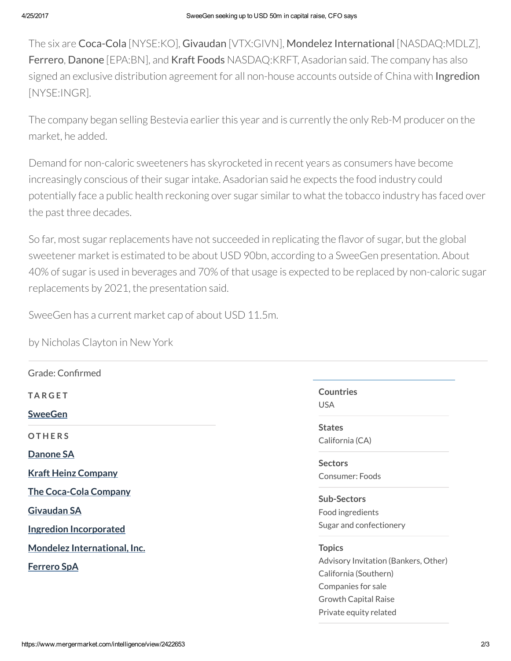The six are Coca-Cola [NYSE:KO], Givaudan [VTX:GIVN], Mondelez International [NASDAQ:MDLZ], Ferrero, Danone [EPA:BN], and Kraft Foods NASDAQ:KRFT, Asadorian said. The company has also signed an exclusive distribution agreement for all non-house accounts outside of China with Ingredion [NYSE:INGR].

The company began selling Bestevia earlier this year and is currently the only Reb-M producer on the market, he added.

Demand for non-caloric sweeteners has skyrocketed in recent years as consumers have become increasingly conscious of their sugar intake. Asadorian said he expects the food industry could potentially face a public health reckoning over sugar similar to what the tobacco industry has faced over the past three decades.

So far, most sugar replacements have not succeeded in replicating the flavor of sugar, but the global sweetener market is estimated to be about USD 90bn, according to a SweeGen presentation. About 40% of sugar is used in beverages and 70% of that usage is expected to be replaced by non-caloric sugar replacements by 2021, the presentation said.

SweeGen has a current market cap of about USD 11.5m.

by Nicholas Clayton in New York

| Grade: Confirmed              |                                      |
|-------------------------------|--------------------------------------|
| <b>TARGET</b>                 | <b>Countries</b>                     |
| <b>SweeGen</b>                | <b>USA</b>                           |
| <b>OTHERS</b>                 | <b>States</b>                        |
|                               | California (CA)                      |
| Danone SA                     | <b>Sectors</b>                       |
| <b>Kraft Heinz Company</b>    | Consumer: Foods                      |
| <b>The Coca-Cola Company</b>  | <b>Sub-Sectors</b>                   |
| <b>Givaudan SA</b>            | Food ingredients                     |
| <b>Ingredion Incorporated</b> | Sugar and confectionery              |
| Mondelez International, Inc.  | <b>Topics</b>                        |
| <b>Ferrero SpA</b>            | Advisory Invitation (Bankers, Other) |
|                               | California (Southern)                |
|                               | Companies for sale                   |
|                               | <b>Growth Capital Raise</b>          |
|                               | Private equity related               |